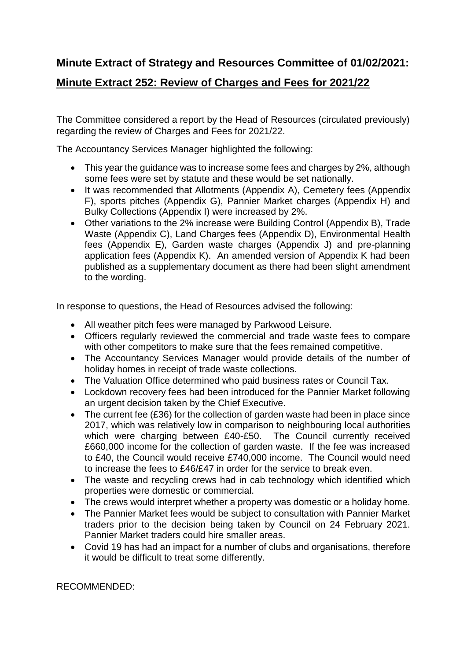## **Minute Extract of Strategy and Resources Committee of 01/02/2021:**

## **Minute Extract 252: Review of Charges and Fees for 2021/22**

The Committee considered a report by the Head of Resources (circulated previously) regarding the review of Charges and Fees for 2021/22.

The Accountancy Services Manager highlighted the following:

- This year the guidance was to increase some fees and charges by 2%, although some fees were set by statute and these would be set nationally.
- It was recommended that Allotments (Appendix A), Cemetery fees (Appendix F), sports pitches (Appendix G), Pannier Market charges (Appendix H) and Bulky Collections (Appendix I) were increased by 2%.
- Other variations to the 2% increase were Building Control (Appendix B), Trade Waste (Appendix C), Land Charges fees (Appendix D), Environmental Health fees (Appendix E), Garden waste charges (Appendix J) and pre-planning application fees (Appendix K). An amended version of Appendix K had been published as a supplementary document as there had been slight amendment to the wording.

In response to questions, the Head of Resources advised the following:

- All weather pitch fees were managed by Parkwood Leisure.
- Officers regularly reviewed the commercial and trade waste fees to compare with other competitors to make sure that the fees remained competitive.
- The Accountancy Services Manager would provide details of the number of holiday homes in receipt of trade waste collections.
- The Valuation Office determined who paid business rates or Council Tax.
- Lockdown recovery fees had been introduced for the Pannier Market following an urgent decision taken by the Chief Executive.
- The current fee (£36) for the collection of garden waste had been in place since 2017, which was relatively low in comparison to neighbouring local authorities which were charging between £40-£50. The Council currently received £660,000 income for the collection of garden waste. If the fee was increased to £40, the Council would receive £740,000 income. The Council would need to increase the fees to £46/£47 in order for the service to break even.
- The waste and recycling crews had in cab technology which identified which properties were domestic or commercial.
- The crews would interpret whether a property was domestic or a holiday home.
- The Pannier Market fees would be subject to consultation with Pannier Market traders prior to the decision being taken by Council on 24 February 2021. Pannier Market traders could hire smaller areas.
- Covid 19 has had an impact for a number of clubs and organisations, therefore it would be difficult to treat some differently.

RECOMMENDED: